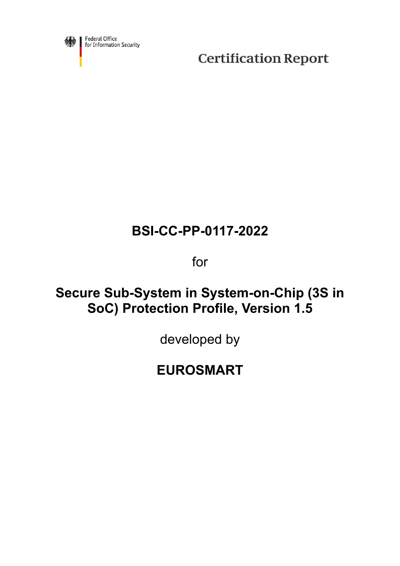

**Certification Report** 

# **BSI-CC-PP-0117-2022**

for

# **Secure Sub-System in System-on-Chip (3S in SoC) Protection Profile, Version 1.5**

developed by

# **EUROSMART**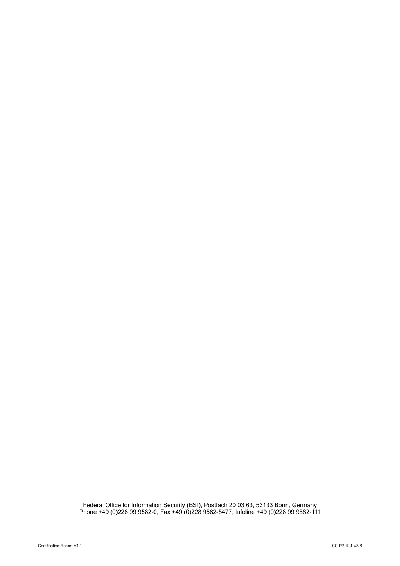Federal Office for Information Security (BSI), Postfach 20 03 63, 53133 Bonn, Germany Phone +49 (0)228 99 9582-0, Fax +49 (0)228 9582-5477, Infoline +49 (0)228 99 9582-111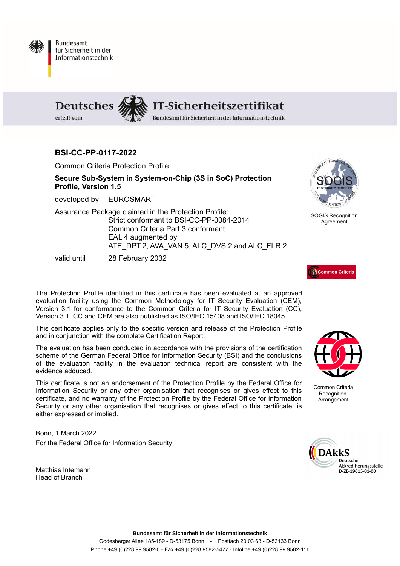

**Deutsches** erteilt vom



## IT-Sicherheitszertifikat

Bundesamt für Sicherheit in der Informationstechnik

#### **BSI-CC-PP-0117-2022**

Common Criteria Protection Profile

#### **Secure Sub-System in System-on-Chip (3S in SoC) Protection Profile, Version 1.5**

developed by EUROSMART

Assurance Package claimed in the Protection Profile: Strict conformant to BSI-CC-PP-0084-2014 Common Criteria Part 3 conformant EAL 4 augmented by ATE\_DPT.2, AVA\_VAN.5, ALC\_DVS.2 and ALC\_FLR.2

valid until 28 February 2032

**Common Criteria** 

SOGIS Recognition Agreement

The Protection Profile identified in this certificate has been evaluated at an approved evaluation facility using the Common Methodology for IT Security Evaluation (CEM), Version 3.1 for conformance to the Common Criteria for IT Security Evaluation (CC), Version 3.1. CC and CEM are also published as ISO/IEC 15408 and ISO/IEC 18045.

This certificate applies only to the specific version and release of the Protection Profile and in conjunction with the complete Certification Report.

The evaluation has been conducted in accordance with the provisions of the certification scheme of the German Federal Office for Information Security (BSI) and the conclusions of the evaluation facility in the evaluation technical report are consistent with the evidence adduced.

This certificate is not an endorsement of the Protection Profile by the Federal Office for Information Security or any other organisation that recognises or gives effect to this certificate, and no warranty of the Protection Profile by the Federal Office for Information Security or any other organisation that recognises or gives effect to this certificate, is either expressed or implied.

Bonn, 1 March 2022 For the Federal Office for Information Security

Matthias Intemann Head of Branch



Common Criteria **Recognition** Arrangement

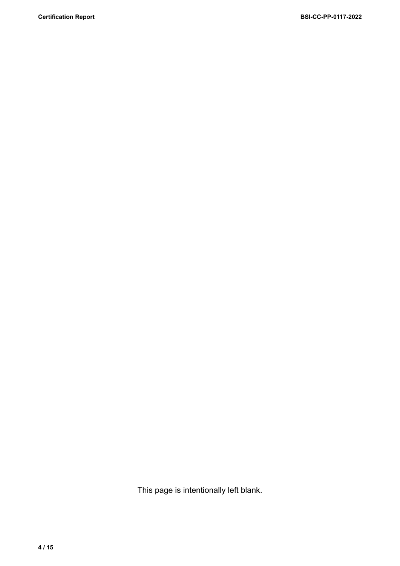This page is intentionally left blank.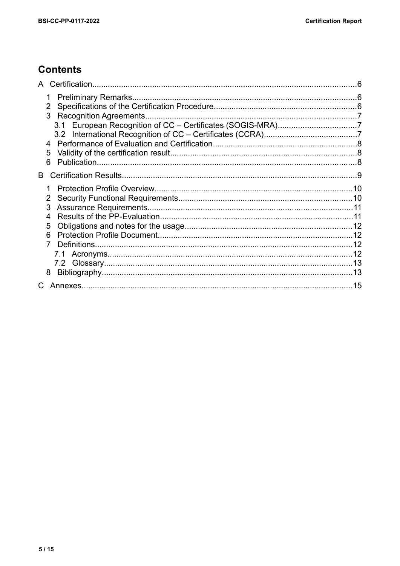## **Contents**

| <b>Preliminary Remarks.</b><br>1<br>$\overline{2}$<br>3<br><b>Recognition Agreements.</b> |  |
|-------------------------------------------------------------------------------------------|--|
| 4<br>5<br>6                                                                               |  |
| B                                                                                         |  |
| 1<br>$\overline{2}$<br>3<br>4                                                             |  |
| 5<br>6<br>8                                                                               |  |
|                                                                                           |  |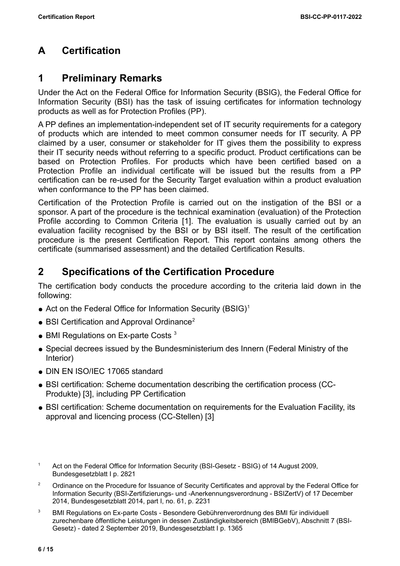## <span id="page-5-2"></span>**A Certification**

### <span id="page-5-1"></span>**1 Preliminary Remarks**

Under the Act on the Federal Office for Information Security (BSIG), the Federal Office for Information Security (BSI) has the task of issuing certificates for information technology products as well as for Protection Profiles (PP).

A PP defines an implementation-independent set of IT security requirements for a category of products which are intended to meet common consumer needs for IT security. A PP claimed by a user, consumer or stakeholder for IT gives them the possibility to express their IT security needs without referring to a specific product. Product certifications can be based on Protection Profiles. For products which have been certified based on a Protection Profile an individual certificate will be issued but the results from a PP certification can be re-used for the Security Target evaluation within a product evaluation when conformance to the PP has been claimed.

Certification of the Protection Profile is carried out on the instigation of the BSI or a sponsor. A part of the procedure is the technical examination (evaluation) of the Protection Profile according to Common Criteria [1]. The evaluation is usually carried out by an evaluation facility recognised by the BSI or by BSI itself. The result of the certification procedure is the present Certification Report. This report contains among others the certificate (summarised assessment) and the detailed Certification Results.

## <span id="page-5-0"></span>**2 Specifications of the Certification Procedure**

The certification body conducts the procedure according to the criteria laid down in the following:

- $\bullet$  Act on the Federal Office for Information Security (BSIG)<sup>[1](#page-5-3)</sup>
- $\bullet$  BSI Certification and Approval Ordinance<sup>[2](#page-5-4)</sup>
- $\bullet$  BMI Regulations on Ex-parte Costs  $3$
- Special decrees issued by the Bundesministerium des Innern (Federal Ministry of the Interior)
- DIN EN ISO/IEC 17065 standard
- BSI certification: Scheme documentation describing the certification process (CC-Produkte) [3], including PP Certification
- BSI certification: Scheme documentation on requirements for the Evaluation Facility, its approval and licencing process (CC-Stellen) [3]
- <span id="page-5-3"></span><sup>1</sup> Act on the Federal Office for Information Security (BSI-Gesetz - BSIG) of 14 August 2009, Bundesgesetzblatt I p. 2821
- <span id="page-5-4"></span><sup>2</sup> Ordinance on the Procedure for Issuance of Security Certificates and approval by the Federal Office for Information Security (BSI-Zertifizierungs- und -Anerkennungsverordnung - BSIZertV) of 17 December 2014, Bundesgesetzblatt 2014, part I, no. 61, p. 2231
- <span id="page-5-5"></span><sup>3</sup> BMI Regulations on Ex-parte Costs - Besondere Gebührenverordnung des BMI für individuell zurechenbare öffentliche Leistungen in dessen Zuständigkeitsbereich (BMIBGebV), Abschnitt 7 (BSI-Gesetz) - dated 2 September 2019, Bundesgesetzblatt I p. 1365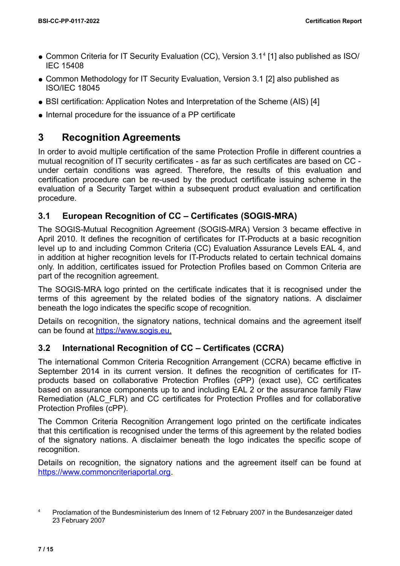- Common Criteria for IT Security Evaluation (CC), Version 3.1<sup>[4](#page-6-3)</sup> [1] also published as ISO/ IEC 15408
- Common Methodology for IT Security Evaluation, Version 3.1 [2] also published as ISO/IEC 18045
- BSI certification: Application Notes and Interpretation of the Scheme (AIS) [4]
- Internal procedure for the issuance of a PP certificate

#### <span id="page-6-2"></span>**3 Recognition Agreements**

In order to avoid multiple certification of the same Protection Profile in different countries a mutual recognition of IT security certificates - as far as such certificates are based on CC under certain conditions was agreed. Therefore, the results of this evaluation and certification procedure can be re-used by the product certificate issuing scheme in the evaluation of a Security Target within a subsequent product evaluation and certification procedure.

#### <span id="page-6-1"></span>**3.1 European Recognition of CC – Certificates (SOGIS-MRA)**

The SOGIS-Mutual Recognition Agreement (SOGIS-MRA) Version 3 became effective in April 2010. It defines the recognition of certificates for IT-Products at a basic recognition level up to and including Common Criteria (CC) Evaluation Assurance Levels EAL 4, and in addition at higher recognition levels for IT-Products related to certain technical domains only. In addition, certificates issued for Protection Profiles based on Common Criteria are part of the recognition agreement.

The SOGIS-MRA logo printed on the certificate indicates that it is recognised under the terms of this agreement by the related bodies of the signatory nations. A disclaimer beneath the logo indicates the specific scope of recognition.

Details on recognition, the signatory nations, technical domains and the agreement itself can be found at https://www.sogis.eu.

#### <span id="page-6-0"></span>**3.2 International Recognition of CC – Certificates (CCRA)**

The international Common Criteria Recognition Arrangement (CCRA) became effictive in September 2014 in its current version. It defines the recognition of certificates for ITproducts based on collaborative Protection Profiles (cPP) (exact use), CC certificates based on assurance components up to and including EAL 2 or the assurance family Flaw Remediation (ALC\_FLR) and CC certificates for Protection Profiles and for collaborative Protection Profiles (cPP).

The Common Criteria Recognition Arrangement logo printed on the certificate indicates that this certification is recognised under the terms of this agreement by the related bodies of the signatory nations. A disclaimer beneath the logo indicates the specific scope of recognition.

Details on recognition, the signatory nations and the agreement itself can be found at [https://www.commoncriteriaportal.org](https://www.commoncriteriaportal.org/).

<span id="page-6-3"></span><sup>&</sup>lt;sup>4</sup> Proclamation of the Bundesministerium des Innern of 12 February 2007 in the Bundesanzeiger dated 23 February 2007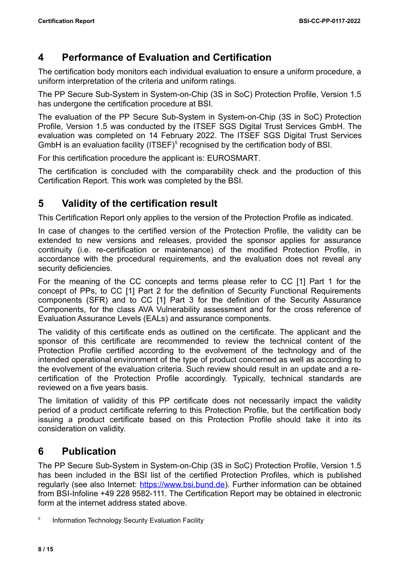## <span id="page-7-2"></span>**4 Performance of Evaluation and Certification**

The certification body monitors each individual evaluation to ensure a uniform procedure, a uniform interpretation of the criteria and uniform ratings.

The PP Secure Sub-System in System-on-Chip (3S in SoC) Protection Profile, Version 1.5 has undergone the certification procedure at BSI.

The evaluation of the PP Secure Sub-System in System-on-Chip (3S in SoC) Protection Profile, Version 1.5 was conducted by the ITSEF SGS Digital Trust Services GmbH. The evaluation was completed on 14 February 2022. The ITSEF SGS Digital Trust Services GmbH is an evaluation facility (ITSEF) $<sup>5</sup>$  $<sup>5</sup>$  $<sup>5</sup>$  recognised by the certification body of BSI.</sup>

For this certification procedure the applicant is: EUROSMART.

The certification is concluded with the comparability check and the production of this Certification Report. This work was completed by the BSI.

### <span id="page-7-1"></span>**5 Validity of the certification result**

This Certification Report only applies to the version of the Protection Profile as indicated.

In case of changes to the certified version of the Protection Profile, the validity can be extended to new versions and releases, provided the sponsor applies for assurance continuity (i.e. re-certification or maintenance) of the modified Protection Profile, in accordance with the procedural requirements, and the evaluation does not reveal any security deficiencies.

For the meaning of the CC concepts and terms please refer to CC [1] Part 1 for the concept of PPs, to CC [1] Part 2 for the definition of Security Functional Requirements components (SFR) and to CC [1] Part 3 for the definition of the Security Assurance Components, for the class AVA Vulnerability assessment and for the cross reference of Evaluation Assurance Levels (EALs) and assurance components.

The validity of this certificate ends as outlined on the certificate. The applicant and the sponsor of this certificate are recommended to review the technical content of the Protection Profile certified according to the evolvement of the technology and of the intended operational environment of the type of product concerned as well as according to the evolvement of the evaluation criteria. Such review should result in an update and a recertification of the Protection Profile accordingly. Typically, technical standards are reviewed on a five years basis.

The limitation of validity of this PP certificate does not necessarily impact the validity period of a product certificate referring to this Protection Profile, but the certification body issuing a product certificate based on this Protection Profile should take it into its consideration on validity.

## <span id="page-7-0"></span>**6 Publication**

The PP Secure Sub-System in System-on-Chip (3S in SoC) Protection Profile, Version 1.5 has been included in the BSI list of the certified Protection Profiles, which is published regularly (see also Internet: https://www.bsi.bund.de). Further information can be obtained from BSI-Infoline +49 228 9582-111. The Certification Report may be obtained in electronic form at the internet address stated above.

<span id="page-7-3"></span><sup>5</sup> Information Technology Security Evaluation Facility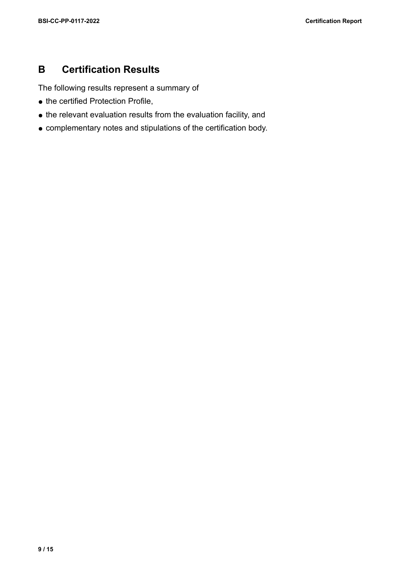## <span id="page-8-0"></span>**B Certification Results**

The following results represent a summary of

- the certified Protection Profile,
- the relevant evaluation results from the evaluation facility, and
- complementary notes and stipulations of the certification body.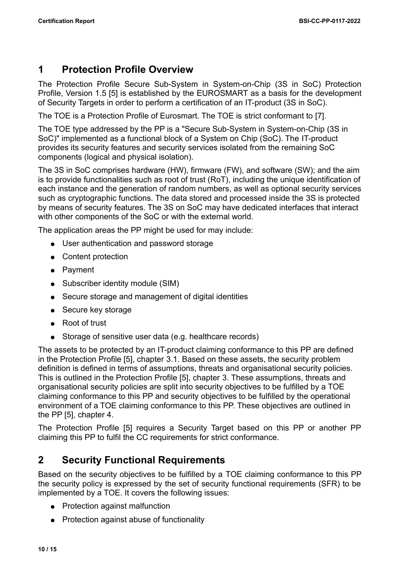#### <span id="page-9-1"></span>**1 Protection Profile Overview**

The Protection Profile Secure Sub-System in System-on-Chip (3S in SoC) Protection Profile, Version 1.5 [5] is established by the EUROSMART as a basis for the development of Security Targets in order to perform a certification of an IT-product (3S in SoC).

The TOE is a Protection Profile of Eurosmart. The TOE is strict conformant to [7].

The TOE type addressed by the PP is a "Secure Sub-System in System-on-Chip (3S in SoC)" implemented as a functional block of a System on Chip (SoC). The IT-product provides its security features and security services isolated from the remaining SoC components (logical and physical isolation).

The 3S in SoC comprises hardware (HW), firmware (FW), and software (SW); and the aim is to provide functionalities such as root of trust (RoT), including the unique identification of each instance and the generation of random numbers, as well as optional security services such as cryptographic functions. The data stored and processed inside the 3S is protected by means of security features. The 3S on SoC may have dedicated interfaces that interact with other components of the SoC or with the external world.

The application areas the PP might be used for may include:

- User authentication and password storage
- Content protection
- Payment
- Subscriber identity module (SIM)
- Secure storage and management of digital identities
- Secure key storage
- Root of trust
- Storage of sensitive user data (e.g. healthcare records)

The assets to be protected by an IT-product claiming conformance to this PP are defined in the Protection Profile [5], chapter 3.1. Based on these assets, the security problem definition is defined in terms of assumptions, threats and organisational security policies. This is outlined in the Protection Profile [5], chapter 3. These assumptions, threats and organisational security policies are split into security objectives to be fulfilled by a TOE claiming conformance to this PP and security objectives to be fulfilled by the operational environment of a TOE claiming conformance to this PP. These objectives are outlined in the PP [5], chapter 4.

The Protection Profile [5] requires a Security Target based on this PP or another PP claiming this PP to fulfil the CC requirements for strict conformance.

## <span id="page-9-0"></span>**2 Security Functional Requirements**

Based on the security objectives to be fulfilled by a TOE claiming conformance to this PP the security policy is expressed by the set of security functional requirements (SFR) to be implemented by a TOE. It covers the following issues:

- Protection against malfunction
- Protection against abuse of functionality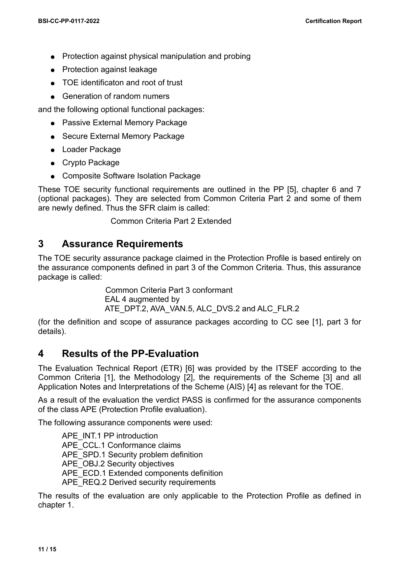- Protection against physical manipulation and probing
- Protection against leakage
- TOE identificaton and root of trust
- Generation of random numers

and the following optional functional packages:

- Passive External Memory Package
- Secure External Memory Package
- Loader Package
- Crypto Package
- Composite Software Isolation Package

These TOE security functional requirements are outlined in the PP [5], chapter 6 and 7 (optional packages). They are selected from Common Criteria Part 2 and some of them are newly defined. Thus the SFR claim is called:

Common Criteria Part 2 Extended

#### <span id="page-10-1"></span>**3 Assurance Requirements**

The TOE security assurance package claimed in the Protection Profile is based entirely on the assurance components defined in part 3 of the Common Criteria. Thus, this assurance package is called:

> Common Criteria Part 3 conformant EAL 4 augmented by ATE\_DPT.2, AVA\_VAN.5, ALC\_DVS.2 and ALC\_FLR.2

(for the definition and scope of assurance packages according to CC see [1], part 3 for details).

#### <span id="page-10-0"></span>**4 Results of the PP-Evaluation**

The Evaluation Technical Report (ETR) [6] was provided by the ITSEF according to the Common Criteria [1], the Methodology [2], the requirements of the Scheme [3] and all Application Notes and Interpretations of the Scheme (AIS) [4] as relevant for the TOE.

As a result of the evaluation the verdict PASS is confirmed for the assurance components of the class APE (Protection Profile evaluation).

The following assurance components were used:

- APE\_INT.1 PP introduction
- APE\_CCL.1 Conformance claims
- APE\_SPD.1 Security problem definition
- APE\_OBJ.2 Security objectives
- APE\_ECD.1 Extended components definition
- APE\_REQ.2 Derived security requirements

The results of the evaluation are only applicable to the Protection Profile as defined in chapter 1.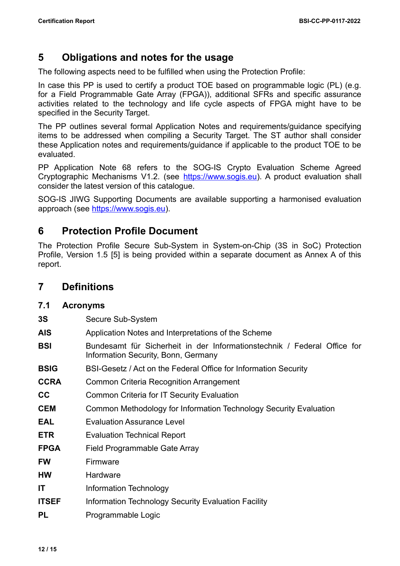### <span id="page-11-3"></span>**5 Obligations and notes for the usage**

The following aspects need to be fulfilled when using the Protection Profile:

In case this PP is used to certify a product TOE based on programmable logic (PL) (e.g. for a Field Programmable Gate Array (FPGA)), additional SFRs and specific assurance activities related to the technology and life cycle aspects of FPGA might have to be specified in the Security Target.

The PP outlines several formal Application Notes and requirements/guidance specifying items to be addressed when compiling a Security Target. The ST author shall consider these Application notes and requirements/guidance if applicable to the product TOE to be evaluated.

PP Application Note 68 refers to the SOG-IS Crypto Evaluation Scheme Agreed Cryptographic Mechanisms V1.2. (see [https://www.sogis.eu](https://www.sogis.eu/)). A product evaluation shall consider the latest version of this catalogue.

SOG-IS JIWG Supporting Documents are available supporting a harmonised evaluation approach (see [https://www.sogis.eu](https://www.sogis.eu/)).

### <span id="page-11-2"></span>**6 Protection Profile Document**

The Protection Profile Secure Sub-System in System-on-Chip (3S in SoC) Protection Profile, Version 1.5 [5] is being provided within a separate document as Annex A of this report.

#### <span id="page-11-1"></span>**7 Definitions**

#### <span id="page-11-0"></span>**7.1 Acronyms**

- **3S** Secure Sub-System
- **AIS** Application Notes and Interpretations of the Scheme
- **BSI** Bundesamt für Sicherheit in der Informationstechnik / Federal Office for Information Security, Bonn, Germany
- **BSIG** BSI-Gesetz / Act on the Federal Office for Information Security
- **CCRA** Common Criteria Recognition Arrangement
- **CC** Common Criteria for IT Security Evaluation
- **CEM** Common Methodology for Information Technology Security Evaluation
- **EAI** Evaluation Assurance Level
- **ETR** Evaluation Technical Report
- **FPGA** Field Programmable Gate Array
- **FW** Firmware
- **HW** Hardware
- **IT** Information Technology
- **ITSEF** Information Technology Security Evaluation Facility
- **PL** Programmable Logic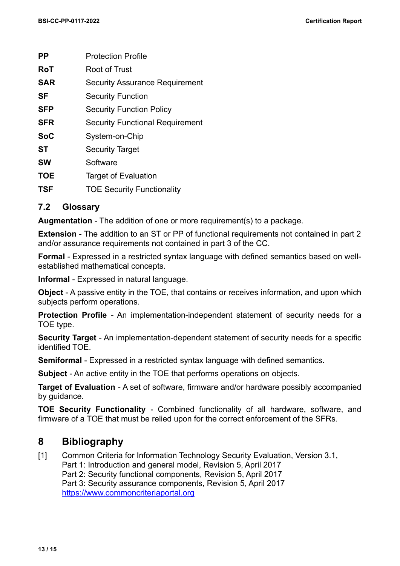| РP         | <b>Protection Profile</b>              |
|------------|----------------------------------------|
| <b>RoT</b> | Root of Trust                          |
| <b>SAR</b> | <b>Security Assurance Requirement</b>  |
| SF         | <b>Security Function</b>               |
| <b>SFP</b> | <b>Security Function Policy</b>        |
| <b>SFR</b> | <b>Security Functional Requirement</b> |
| <b>SoC</b> | System-on-Chip                         |
| <b>ST</b>  | <b>Security Target</b>                 |
| <b>SW</b>  | Software                               |
| <b>TOE</b> | <b>Target of Evaluation</b>            |
| <b>TSF</b> | <b>TOE Security Functionality</b>      |
|            |                                        |

#### <span id="page-12-1"></span>**7.2 Glossary**

**Augmentation** - The addition of one or more requirement(s) to a package.

**Extension** - The addition to an ST or PP of functional requirements not contained in part 2 and/or assurance requirements not contained in part 3 of the CC.

**Formal** - Expressed in a restricted syntax language with defined semantics based on wellestablished mathematical concepts.

**Informal** - Expressed in natural language.

**Object** - A passive entity in the TOE, that contains or receives information, and upon which subjects perform operations.

**Protection Profile - An implementation-independent statement of security needs for a** TOE type.

**Security Target** - An implementation-dependent statement of security needs for a specific identified TOE.

**Semiformal** - Expressed in a restricted syntax language with defined semantics.

**Subject** - An active entity in the TOE that performs operations on objects.

**Target of Evaluation** - A set of software, firmware and/or hardware possibly accompanied by guidance.

**TOE Security Functionality** - Combined functionality of all hardware, software, and firmware of a TOE that must be relied upon for the correct enforcement of the SFRs.

#### <span id="page-12-0"></span>**8 Bibliography**

[1] Common Criteria for Information Technology Security Evaluation, Version 3.1, Part 1: Introduction and general model, Revision 5, April 2017 Part 2: Security functional components, Revision 5, April 2017 Part 3: Security assurance components, Revision 5, April 2017 https://www.commoncriteriaportal.org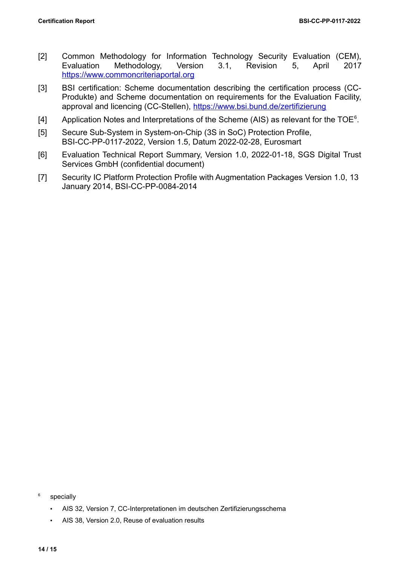- [2] Common Methodology for Information Technology Security Evaluation (CEM), Evaluation Methodology, Version 3.1, Revision 5, April 2017 https://www.commoncriteriaportal.org
- [3] BSI certification: Scheme documentation describing the certification process (CC-Produkte) and Scheme documentation on requirements for the Evaluation Facility, approval and licencing (CC-Stellen), <https://www.bsi.bund.de/zertifizierung>
- [4] Application Notes and Interpretations of the Scheme (AIS) as relevant for the TOE $6$ .
- [5] Secure Sub-System in System-on-Chip (3S in SoC) Protection Profile, BSI-CC-PP-0117-2022, Version 1.5, Datum 2022-02-28, Eurosmart
- [6] Evaluation Technical Report Summary, Version 1.0, 2022-01-18, SGS Digital Trust Services GmbH (confidential document)
- [7] Security IC Platform Protection Profile with Augmentation Packages Version 1.0, 13 January 2014, BSI-CC-PP-0084-2014

<span id="page-13-0"></span>6 specially

- AIS 32, Version 7, CC-Interpretationen im deutschen Zertifizierungsschema
- AIS 38, Version 2.0, Reuse of evaluation results